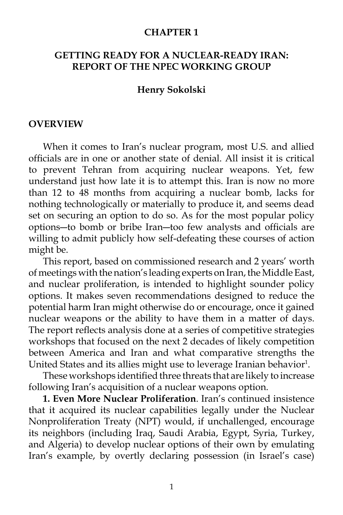### **CHAPTER 1**

# **GETTING READY FOR A NUCLEAR-READY IRAN: REPORT OF THE NPEC WORKING GROUP**

### **Henry Sokolski**

#### **OVERVIEW**

 When it comes to Iran's nuclear program, most U.S. and allied officials are in one or another state of denial. All insist it is critical to prevent Tehran from acquiring nuclear weapons. Yet, few understand just how late it is to attempt this. Iran is now no more than 12 to 48 months from acquiring a nuclear bomb, lacks for nothing technologically or materially to produce it, and seems dead set on securing an option to do so. As for the most popular policy options―to bomb or bribe Iran―too few analysts and officials are willing to admit publicly how self-defeating these courses of action might be.

 This report, based on commissioned research and 2 years' worth of meetings with the nation's leading experts on Iran, the Middle East, and nuclear proliferation, is intended to highlight sounder policy options. It makes seven recommendations designed to reduce the potential harm Iran might otherwise do or encourage, once it gained nuclear weapons or the ability to have them in a matter of days. The report reflects analysis done at a series of competitive strategies workshops that focused on the next 2 decades of likely competition between America and Iran and what comparative strengths the United States and its allies might use to leverage Iranian behavior<sup>1</sup>.

 These workshops identified three threats that are likely to increase following Iran's acquisition of a nuclear weapons option.

**1. Even More Nuclear Proliferation**. Iran's continued insistence that it acquired its nuclear capabilities legally under the Nuclear Nonproliferation Treaty (NPT) would, if unchallenged, encourage its neighbors (including Iraq, Saudi Arabia, Egypt, Syria, Turkey, and Algeria) to develop nuclear options of their own by emulating Iran's example, by overtly declaring possession (in Israel's case)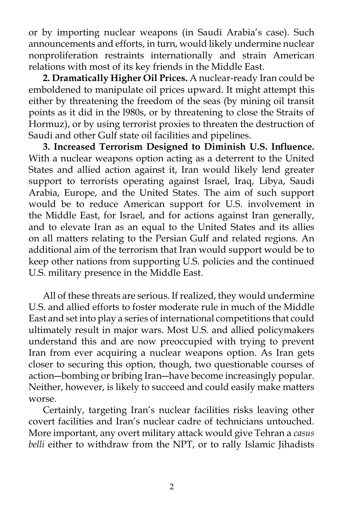or by importing nuclear weapons (in Saudi Arabia's case). Such announcements and efforts, in turn, would likely undermine nuclear nonproliferation restraints internationally and strain American relations with most of its key friends in the Middle East.

**2. Dramatically Higher Oil Prices.** A nuclear-ready Iran could be emboldened to manipulate oil prices upward. It might attempt this either by threatening the freedom of the seas (by mining oil transit points as it did in the l980s, or by threatening to close the Straits of Hormuz), or by using terrorist proxies to threaten the destruction of Saudi and other Gulf state oil facilities and pipelines.

**3. Increased Terrorism Designed to Diminish U.S. Influence.** With a nuclear weapons option acting as a deterrent to the United States and allied action against it, Iran would likely lend greater support to terrorists operating against Israel, Iraq, Libya, Saudi Arabia, Europe, and the United States. The aim of such support would be to reduce American support for U.S. involvement in the Middle East, for Israel, and for actions against Iran generally, and to elevate Iran as an equal to the United States and its allies on all matters relating to the Persian Gulf and related regions. An additional aim of the terrorism that Iran would support would be to keep other nations from supporting U.S. policies and the continued U.S. military presence in the Middle East.

 All of these threats are serious. If realized, they would undermine U.S. and allied efforts to foster moderate rule in much of the Middle East and set into play a series of international competitions that could ultimately result in major wars. Most U.S. and allied policymakers understand this and are now preoccupied with trying to prevent Iran from ever acquiring a nuclear weapons option. As Iran gets closer to securing this option, though, two questionable courses of action―bombing or bribing Iran―have become increasingly popular. Neither, however, is likely to succeed and could easily make matters worse.

 Certainly, targeting Iran's nuclear facilities risks leaving other covert facilities and Iran's nuclear cadre of technicians untouched. More important, any overt military attack would give Tehran a *casus belli* either to withdraw from the NPT, or to rally Islamic Jihadists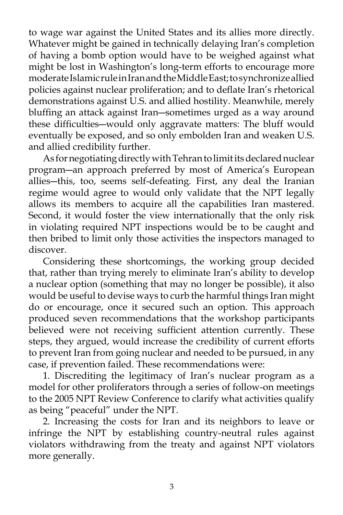to wage war against the United States and its allies more directly. Whatever might be gained in technically delaying Iran's completion of having a bomb option would have to be weighed against what might be lost in Washington's long-term efforts to encourage more moderate Islamic rule in Iran and the Middle East; to synchronize allied policies against nuclear proliferation; and to deflate Iran's rhetorical demonstrations against U.S. and allied hostility. Meanwhile, merely bluffing an attack against Iran―sometimes urged as a way around these difficulties―would only aggravate matters: The bluff would eventually be exposed, and so only embolden Iran and weaken U.S. and allied credibility further.

 As for negotiating directly with Tehran to limit its declared nuclear program―an approach preferred by most of America's European allies―this, too, seems self-defeating. First, any deal the Iranian regime would agree to would only validate that the NPT legally allows its members to acquire all the capabilities Iran mastered. Second, it would foster the view internationally that the only risk in violating required NPT inspections would be to be caught and then bribed to limit only those activities the inspectors managed to discover.

 Considering these shortcomings, the working group decided that, rather than trying merely to eliminate Iran's ability to develop a nuclear option (something that may no longer be possible), it also would be useful to devise ways to curb the harmful things Iran might do or encourage, once it secured such an option. This approach produced seven recommendations that the workshop participants believed were not receiving sufficient attention currently. These steps, they argued, would increase the credibility of current efforts to prevent Iran from going nuclear and needed to be pursued, in any case, if prevention failed. These recommendations were:

 1. Discrediting the legitimacy of Iran's nuclear program as a model for other proliferators through a series of follow-on meetings to the 2005 NPT Review Conference to clarify what activities qualify as being "peaceful" under the NPT.

 2. Increasing the costs for Iran and its neighbors to leave or infringe the NPT by establishing country-neutral rules against violators withdrawing from the treaty and against NPT violators more generally.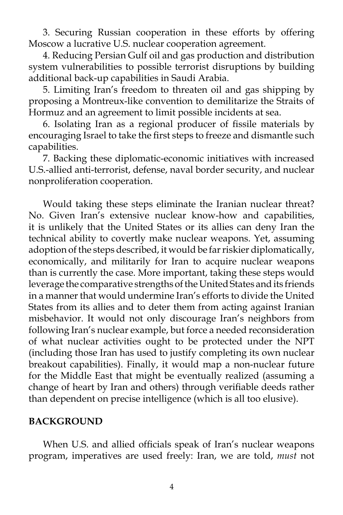3. Securing Russian cooperation in these efforts by offering Moscow a lucrative U.S. nuclear cooperation agreement.

 4. Reducing Persian Gulf oil and gas production and distribution system vulnerabilities to possible terrorist disruptions by building additional back-up capabilities in Saudi Arabia.

 5. Limiting Iran's freedom to threaten oil and gas shipping by proposing a Montreux-like convention to demilitarize the Straits of Hormuz and an agreement to limit possible incidents at sea.

 6. Isolating Iran as a regional producer of fissile materials by encouraging Israel to take the first steps to freeze and dismantle such capabilities.

 7. Backing these diplomatic-economic initiatives with increased U.S.-allied anti-terrorist, defense, naval border security, and nuclear nonproliferation cooperation.

Would taking these steps eliminate the Iranian nuclear threat? No. Given Iran's extensive nuclear know-how and capabilities, it is unlikely that the United States or its allies can deny Iran the technical ability to covertly make nuclear weapons. Yet, assuming adoption of the steps described, it would be far riskier diplomatically, economically, and militarily for Iran to acquire nuclear weapons than is currently the case. More important, taking these steps would leverage the comparative strengths of the United States and its friends in a manner that would undermine Iran's efforts to divide the United States from its allies and to deter them from acting against Iranian misbehavior. It would not only discourage Iran's neighbors from following Iran's nuclear example, but force a needed reconsideration of what nuclear activities ought to be protected under the NPT (including those Iran has used to justify completing its own nuclear breakout capabilities). Finally, it would map a non-nuclear future for the Middle East that might be eventually realized (assuming a change of heart by Iran and others) through verifiable deeds rather than dependent on precise intelligence (which is all too elusive).

# **BACKGROUND**

 When U.S. and allied officials speak of Iran's nuclear weapons program, imperatives are used freely: Iran, we are told, *must* not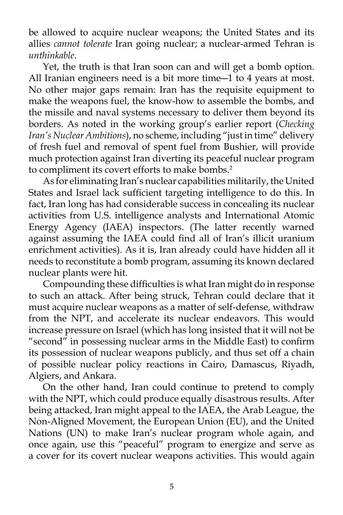be allowed to acquire nuclear weapons; the United States and its allies *cannot tolerate* Iran going nuclear; a nuclear-armed Tehran is *unthinkable*.

 Yet, the truth is that Iran soon can and will get a bomb option. All Iranian engineers need is a bit more time—1 to 4 years at most. No other major gaps remain: Iran has the requisite equipment to make the weapons fuel, the know-how to assemble the bombs, and the missile and naval systems necessary to deliver them beyond its borders. As noted in the working group's earlier report (*Checking Iran's Nuclear Ambitions*), no scheme, including "just in time" delivery of fresh fuel and removal of spent fuel from Bushier, will provide much protection against Iran diverting its peaceful nuclear program to compliment its covert efforts to make bombs.<sup>2</sup>

 As for eliminating Iran's nuclear capabilities militarily, the United States and Israel lack sufficient targeting intelligence to do this. In fact, Iran long has had considerable success in concealing its nuclear activities from U.S. intelligence analysts and International Atomic Energy Agency (IAEA) inspectors. (The latter recently warned against assuming the IAEA could find all of Iran's illicit uranium enrichment activities). As it is, Iran already could have hidden all it needs to reconstitute a bomb program, assuming its known declared nuclear plants were hit.

 Compounding these difficulties is what Iran might do in response to such an attack. After being struck, Tehran could declare that it must acquire nuclear weapons as a matter of self-defense, withdraw from the NPT, and accelerate its nuclear endeavors. This would increase pressure on Israel (which has long insisted that it will not be "second" in possessing nuclear arms in the Middle East) to confirm its possession of nuclear weapons publicly, and thus set off a chain of possible nuclear policy reactions in Cairo, Damascus, Riyadh, Algiers, and Ankara.

 On the other hand, Iran could continue to pretend to comply with the NPT, which could produce equally disastrous results. After being attacked, Iran might appeal to the IAEA, the Arab League, the Non-Aligned Movement, the European Union (EU), and the United Nations (UN) to make Iran's nuclear program whole again, and once again, use this "peaceful" program to energize and serve as a cover for its covert nuclear weapons activities. This would again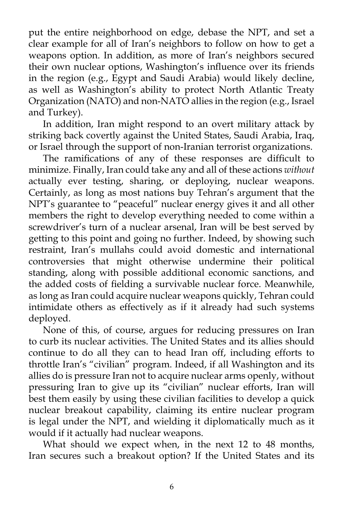put the entire neighborhood on edge, debase the NPT, and set a clear example for all of Iran's neighbors to follow on how to get a weapons option. In addition, as more of Iran's neighbors secured their own nuclear options, Washington's influence over its friends in the region (e.g., Egypt and Saudi Arabia) would likely decline, as well as Washington's ability to protect North Atlantic Treaty Organization (NATO) and non-NATO allies in the region (e.g., Israel and Turkey).

 In addition, Iran might respond to an overt military attack by striking back covertly against the United States, Saudi Arabia, Iraq, or Israel through the support of non-Iranian terrorist organizations.

 The ramifications of any of these responses are difficult to minimize. Finally, Iran could take any and all of these actions *without* actually ever testing, sharing, or deploying, nuclear weapons. Certainly, as long as most nations buy Tehran's argument that the NPT's guarantee to "peaceful" nuclear energy gives it and all other members the right to develop everything needed to come within a screwdriver's turn of a nuclear arsenal, Iran will be best served by getting to this point and going no further. Indeed, by showing such restraint, Iran's mullahs could avoid domestic and international controversies that might otherwise undermine their political standing, along with possible additional economic sanctions, and the added costs of fielding a survivable nuclear force. Meanwhile, as long as Iran could acquire nuclear weapons quickly, Tehran could intimidate others as effectively as if it already had such systems deployed.

 None of this, of course, argues for reducing pressures on Iran to curb its nuclear activities. The United States and its allies should continue to do all they can to head Iran off, including efforts to throttle Iran's "civilian" program. Indeed, if all Washington and its allies do is pressure Iran not to acquire nuclear arms openly, without pressuring Iran to give up its "civilian" nuclear efforts, Iran will best them easily by using these civilian facilities to develop a quick nuclear breakout capability, claiming its entire nuclear program is legal under the NPT, and wielding it diplomatically much as it would if it actually had nuclear weapons.

 What should we expect when, in the next 12 to 48 months, Iran secures such a breakout option? If the United States and its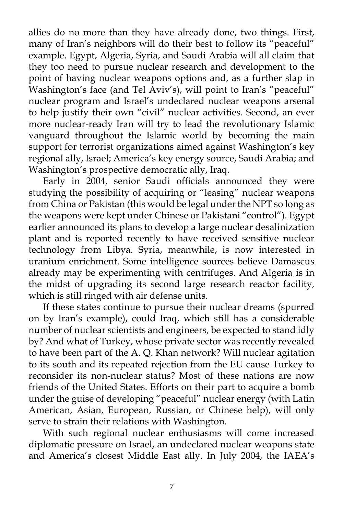allies do no more than they have already done, two things. First, many of Iran's neighbors will do their best to follow its "peaceful" example. Egypt, Algeria, Syria, and Saudi Arabia will all claim that they too need to pursue nuclear research and development to the point of having nuclear weapons options and, as a further slap in Washington's face (and Tel Aviv's), will point to Iran's "peaceful" nuclear program and Israel's undeclared nuclear weapons arsenal to help justify their own "civil" nuclear activities. Second, an ever more nuclear-ready Iran will try to lead the revolutionary Islamic vanguard throughout the Islamic world by becoming the main support for terrorist organizations aimed against Washington's key regional ally, Israel; America's key energy source, Saudi Arabia; and Washington's prospective democratic ally, Iraq.

 Early in 2004, senior Saudi officials announced they were studying the possibility of acquiring or "leasing" nuclear weapons from China or Pakistan (this would be legal under the NPT so long as the weapons were kept under Chinese or Pakistani "control"). Egypt earlier announced its plans to develop a large nuclear desalinization plant and is reported recently to have received sensitive nuclear technology from Libya. Syria, meanwhile, is now interested in uranium enrichment. Some intelligence sources believe Damascus already may be experimenting with centrifuges. And Algeria is in the midst of upgrading its second large research reactor facility, which is still ringed with air defense units.

 If these states continue to pursue their nuclear dreams (spurred on by Iran's example), could Iraq, which still has a considerable number of nuclear scientists and engineers, be expected to stand idly by? And what of Turkey, whose private sector was recently revealed to have been part of the A. Q. Khan network? Will nuclear agitation to its south and its repeated rejection from the EU cause Turkey to reconsider its non-nuclear status? Most of these nations are now friends of the United States. Efforts on their part to acquire a bomb under the guise of developing "peaceful" nuclear energy (with Latin American, Asian, European, Russian, or Chinese help), will only serve to strain their relations with Washington.

 With such regional nuclear enthusiasms will come increased diplomatic pressure on Israel, an undeclared nuclear weapons state and America's closest Middle East ally. In July 2004, the IAEA's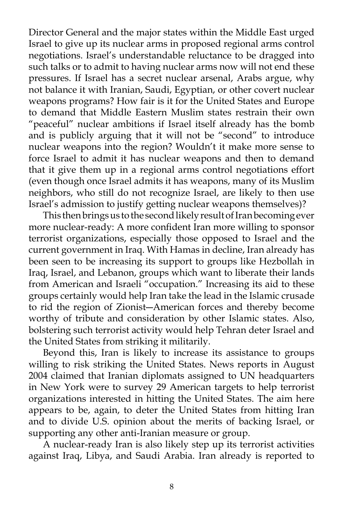Director General and the major states within the Middle East urged Israel to give up its nuclear arms in proposed regional arms control negotiations. Israel's understandable reluctance to be dragged into such talks or to admit to having nuclear arms now will not end these pressures. If Israel has a secret nuclear arsenal, Arabs argue, why not balance it with Iranian, Saudi, Egyptian, or other covert nuclear weapons programs? How fair is it for the United States and Europe to demand that Middle Eastern Muslim states restrain their own "peaceful" nuclear ambitions if Israel itself already has the bomb and is publicly arguing that it will not be "second" to introduce nuclear weapons into the region? Wouldn't it make more sense to force Israel to admit it has nuclear weapons and then to demand that it give them up in a regional arms control negotiations effort (even though once Israel admits it has weapons, many of its Muslim neighbors, who still do not recognize Israel, are likely to then use Israel's admission to justify getting nuclear weapons themselves)?

 This then brings us to the second likely result of Iran becoming ever more nuclear-ready: A more confident Iran more willing to sponsor terrorist organizations, especially those opposed to Israel and the current government in Iraq. With Hamas in decline, Iran already has been seen to be increasing its support to groups like Hezbollah in Iraq, Israel, and Lebanon, groups which want to liberate their lands from American and Israeli "occupation." Increasing its aid to these groups certainly would help Iran take the lead in the Islamic crusade to rid the region of Zionist―American forces and thereby become worthy of tribute and consideration by other Islamic states. Also, bolstering such terrorist activity would help Tehran deter Israel and the United States from striking it militarily.

 Beyond this, Iran is likely to increase its assistance to groups willing to risk striking the United States. News reports in August 2004 claimed that Iranian diplomats assigned to UN headquarters in New York were to survey 29 American targets to help terrorist organizations interested in hitting the United States. The aim here appears to be, again, to deter the United States from hitting Iran and to divide U.S. opinion about the merits of backing Israel, or supporting any other anti-Iranian measure or group.

 A nuclear-ready Iran is also likely step up its terrorist activities against Iraq, Libya, and Saudi Arabia. Iran already is reported to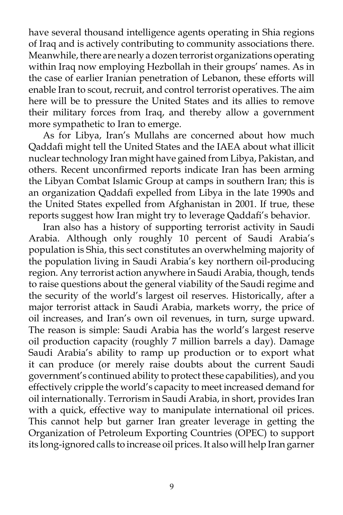have several thousand intelligence agents operating in Shia regions of Iraq and is actively contributing to community associations there. Meanwhile, there are nearly a dozen terrorist organizations operating within Iraq now employing Hezbollah in their groups' names. As in the case of earlier Iranian penetration of Lebanon, these efforts will enable Iran to scout, recruit, and control terrorist operatives. The aim here will be to pressure the United States and its allies to remove their military forces from Iraq, and thereby allow a government more sympathetic to Iran to emerge.

 As for Libya, Iran's Mullahs are concerned about how much Qaddafi might tell the United States and the IAEA about what illicit nuclear technology Iran might have gained from Libya, Pakistan, and others. Recent unconfirmed reports indicate Iran has been arming the Libyan Combat Islamic Group at camps in southern Iran; this is an organization Qaddafi expelled from Libya in the late 1990s and the United States expelled from Afghanistan in 2001. If true, these reports suggest how Iran might try to leverage Qaddafi's behavior.

 Iran also has a history of supporting terrorist activity in Saudi Arabia. Although only roughly 10 percent of Saudi Arabia's population is Shia, this sect constitutes an overwhelming majority of the population living in Saudi Arabia's key northern oil-producing region. Any terrorist action anywhere in Saudi Arabia, though, tends to raise questions about the general viability of the Saudi regime and the security of the world's largest oil reserves. Historically, after a major terrorist attack in Saudi Arabia, markets worry, the price of oil increases, and Iran's own oil revenues, in turn, surge upward. The reason is simple: Saudi Arabia has the world's largest reserve oil production capacity (roughly 7 million barrels a day). Damage Saudi Arabia's ability to ramp up production or to export what it can produce (or merely raise doubts about the current Saudi government's continued ability to protect these capabilities), and you effectively cripple the world's capacity to meet increased demand for oil internationally. Terrorism in Saudi Arabia, in short, provides Iran with a quick, effective way to manipulate international oil prices. This cannot help but garner Iran greater leverage in getting the Organization of Petroleum Exporting Countries (OPEC) to support its long-ignored calls to increase oil prices. It also will help Iran garner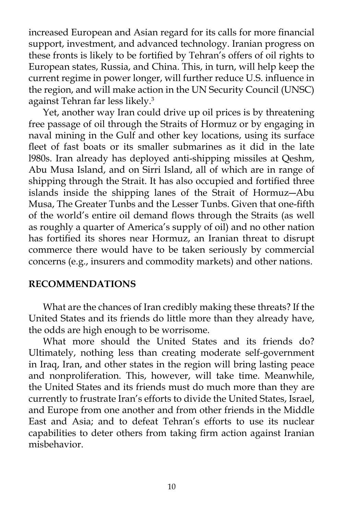increased European and Asian regard for its calls for more financial support, investment, and advanced technology. Iranian progress on these fronts is likely to be fortified by Tehran's offers of oil rights to European states, Russia, and China. This, in turn, will help keep the current regime in power longer, will further reduce U.S. influence in the region, and will make action in the UN Security Council (UNSC) against Tehran far less likely.3

 Yet, another way Iran could drive up oil prices is by threatening free passage of oil through the Straits of Hormuz or by engaging in naval mining in the Gulf and other key locations, using its surface fleet of fast boats or its smaller submarines as it did in the late l980s. Iran already has deployed anti-shipping missiles at Qeshm, Abu Musa Island, and on Sirri Island, all of which are in range of shipping through the Strait. It has also occupied and fortified three islands inside the shipping lanes of the Strait of Hormuz―Abu Musa, The Greater Tunbs and the Lesser Tunbs. Given that one-fifth of the world's entire oil demand flows through the Straits (as well as roughly a quarter of America's supply of oil) and no other nation has fortified its shores near Hormuz, an Iranian threat to disrupt commerce there would have to be taken seriously by commercial concerns (e.g., insurers and commodity markets) and other nations.

### **RECOMMENDATIONS**

 What are the chances of Iran credibly making these threats? If the United States and its friends do little more than they already have, the odds are high enough to be worrisome.

 What more should the United States and its friends do? Ultimately, nothing less than creating moderate self-government in Iraq, Iran, and other states in the region will bring lasting peace and nonproliferation. This, however, will take time. Meanwhile, the United States and its friends must do much more than they are currently to frustrate Iran's efforts to divide the United States, Israel, and Europe from one another and from other friends in the Middle East and Asia; and to defeat Tehran's efforts to use its nuclear capabilities to deter others from taking firm action against Iranian misbehavior.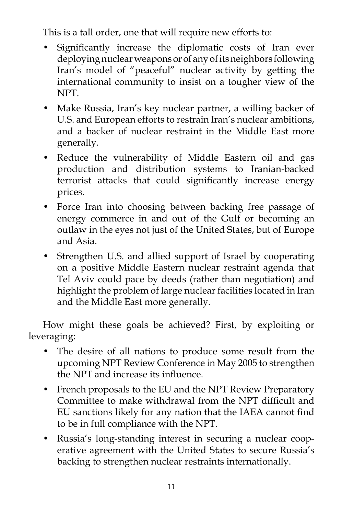This is a tall order, one that will require new efforts to:

- Significantly increase the diplomatic costs of Iran ever deploying nuclear weapons or of any of its neighbors following Iran's model of "peaceful" nuclear activity by getting the international community to insist on a tougher view of the NPT.
- Make Russia, Iran's key nuclear partner, a willing backer of U.S. and European efforts to restrain Iran's nuclear ambitions, and a backer of nuclear restraint in the Middle East more generally.
- Reduce the vulnerability of Middle Eastern oil and gas production and distribution systems to Iranian-backed terrorist attacks that could significantly increase energy prices.
- Force Iran into choosing between backing free passage of energy commerce in and out of the Gulf or becoming an outlaw in the eyes not just of the United States, but of Europe and Asia.
- Strengthen U.S. and allied support of Israel by cooperating on a positive Middle Eastern nuclear restraint agenda that Tel Aviv could pace by deeds (rather than negotiation) and highlight the problem of large nuclear facilities located in Iran and the Middle East more generally.

 How might these goals be achieved? First, by exploiting or leveraging:

- The desire of all nations to produce some result from the upcoming NPT Review Conference in May 2005 to strengthen the NPT and increase its influence.
- French proposals to the EU and the NPT Review Preparatory Committee to make withdrawal from the NPT difficult and EU sanctions likely for any nation that the IAEA cannot find to be in full compliance with the NPT.
- Russia's long-standing interest in securing a nuclear cooperative agreement with the United States to secure Russia's backing to strengthen nuclear restraints internationally.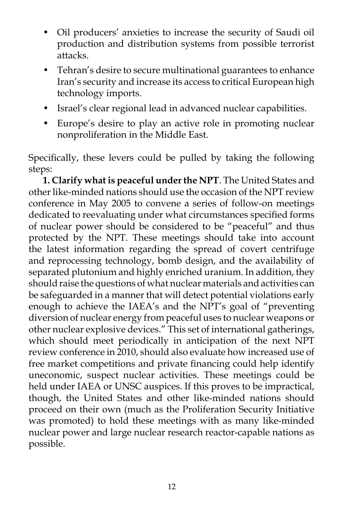- Oil producers' anxieties to increase the security of Saudi oil production and distribution systems from possible terrorist attacks.
- Tehran's desire to secure multinational guarantees to enhance Iran's security and increase its access to critical European high technology imports.
- Israel's clear regional lead in advanced nuclear capabilities.
- Europe's desire to play an active role in promoting nuclear nonproliferation in the Middle East.

Specifically, these levers could be pulled by taking the following steps:

**1. Clarify what is peaceful under the NPT**. The United States and other like-minded nations should use the occasion of the NPT review conference in May 2005 to convene a series of follow-on meetings dedicated to reevaluating under what circumstances specified forms of nuclear power should be considered to be "peaceful" and thus protected by the NPT. These meetings should take into account the latest information regarding the spread of covert centrifuge and reprocessing technology, bomb design, and the availability of separated plutonium and highly enriched uranium. In addition, they should raise the questions of what nuclear materials and activities can be safeguarded in a manner that will detect potential violations early enough to achieve the IAEA's and the NPT's goal of "preventing diversion of nuclear energy from peaceful uses to nuclear weapons or other nuclear explosive devices." This set of international gatherings, which should meet periodically in anticipation of the next NPT review conference in 2010, should also evaluate how increased use of free market competitions and private financing could help identify uneconomic, suspect nuclear activities. These meetings could be held under IAEA or UNSC auspices. If this proves to be impractical, though, the United States and other like-minded nations should proceed on their own (much as the Proliferation Security Initiative was promoted) to hold these meetings with as many like-minded nuclear power and large nuclear research reactor-capable nations as possible.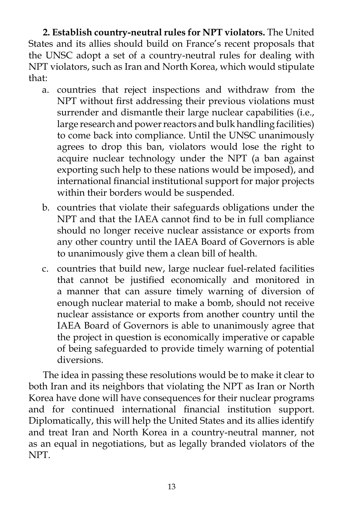**2. Establish country-neutral rules for NPT violators.** The United States and its allies should build on France's recent proposals that the UNSC adopt a set of a country-neutral rules for dealing with NPT violators, such as Iran and North Korea, which would stipulate that:

- a. countries that reject inspections and withdraw from the NPT without first addressing their previous violations must surrender and dismantle their large nuclear capabilities (i.e., large research and power reactors and bulk handling facilities) to come back into compliance. Until the UNSC unanimously agrees to drop this ban, violators would lose the right to acquire nuclear technology under the NPT (a ban against exporting such help to these nations would be imposed), and international financial institutional support for major projects within their borders would be suspended.
- b. countries that violate their safeguards obligations under the NPT and that the IAEA cannot find to be in full compliance should no longer receive nuclear assistance or exports from any other country until the IAEA Board of Governors is able to unanimously give them a clean bill of health.
- c. countries that build new, large nuclear fuel-related facilities that cannot be justified economically and monitored in a manner that can assure timely warning of diversion of enough nuclear material to make a bomb, should not receive nuclear assistance or exports from another country until the IAEA Board of Governors is able to unanimously agree that the project in question is economically imperative or capable of being safeguarded to provide timely warning of potential diversions.

 The idea in passing these resolutions would be to make it clear to both Iran and its neighbors that violating the NPT as Iran or North Korea have done will have consequences for their nuclear programs and for continued international financial institution support. Diplomatically, this will help the United States and its allies identify and treat Iran and North Korea in a country-neutral manner, not as an equal in negotiations, but as legally branded violators of the NPT.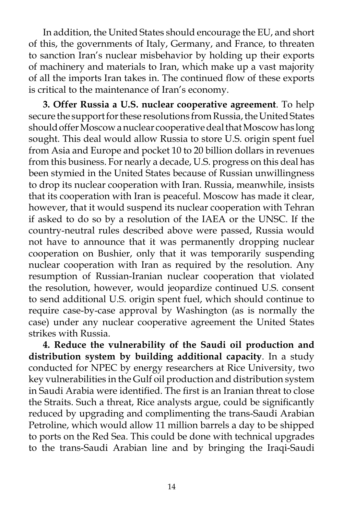In addition, the United States should encourage the EU, and short of this, the governments of Italy, Germany, and France, to threaten to sanction Iran's nuclear misbehavior by holding up their exports of machinery and materials to Iran, which make up a vast majority of all the imports Iran takes in. The continued flow of these exports is critical to the maintenance of Iran's economy.

 **3. Offer Russia a U.S. nuclear cooperative agreement**. To help secure the support for these resolutions from Russia, the United States should offer Moscow a nuclear cooperative deal that Moscow has long sought. This deal would allow Russia to store U.S. origin spent fuel from Asia and Europe and pocket 10 to 20 billion dollars in revenues from this business. For nearly a decade, U.S. progress on this deal has been stymied in the United States because of Russian unwillingness to drop its nuclear cooperation with Iran. Russia, meanwhile, insists that its cooperation with Iran is peaceful. Moscow has made it clear, however, that it would suspend its nuclear cooperation with Tehran if asked to do so by a resolution of the IAEA or the UNSC. If the country-neutral rules described above were passed, Russia would not have to announce that it was permanently dropping nuclear cooperation on Bushier, only that it was temporarily suspending nuclear cooperation with Iran as required by the resolution. Any resumption of Russian-Iranian nuclear cooperation that violated the resolution, however, would jeopardize continued U.S. consent to send additional U.S. origin spent fuel, which should continue to require case-by-case approval by Washington (as is normally the case) under any nuclear cooperative agreement the United States strikes with Russia.

**4. Reduce the vulnerability of the Saudi oil production and distribution system by building additional capacity**. In a study conducted for NPEC by energy researchers at Rice University, two key vulnerabilities in the Gulf oil production and distribution system in Saudi Arabia were identified. The first is an Iranian threat to close the Straits. Such a threat, Rice analysts argue, could be significantly reduced by upgrading and complimenting the trans-Saudi Arabian Petroline, which would allow 11 million barrels a day to be shipped to ports on the Red Sea. This could be done with technical upgrades to the trans-Saudi Arabian line and by bringing the Iraqi-Saudi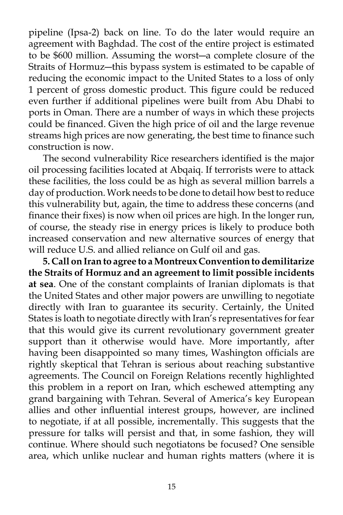pipeline (Ipsa-2) back on line. To do the later would require an agreement with Baghdad. The cost of the entire project is estimated to be \$600 million. Assuming the worst―a complete closure of the Straits of Hormuz―this bypass system is estimated to be capable of reducing the economic impact to the United States to a loss of only 1 percent of gross domestic product. This figure could be reduced even further if additional pipelines were built from Abu Dhabi to ports in Oman. There are a number of ways in which these projects could be financed. Given the high price of oil and the large revenue streams high prices are now generating, the best time to finance such construction is now.

 The second vulnerability Rice researchers identified is the major oil processing facilities located at Abqaiq. If terrorists were to attack these facilities, the loss could be as high as several million barrels a day of production. Work needs to be done to detail how best to reduce this vulnerability but, again, the time to address these concerns (and finance their fixes) is now when oil prices are high. In the longer run, of course, the steady rise in energy prices is likely to produce both increased conservation and new alternative sources of energy that will reduce U.S. and allied reliance on Gulf oil and gas.

**5. Call on Iran to agree to a Montreux Convention to demilitarize the Straits of Hormuz and an agreement to limit possible incidents at sea**. One of the constant complaints of Iranian diplomats is that the United States and other major powers are unwilling to negotiate directly with Iran to guarantee its security. Certainly, the United States is loath to negotiate directly with Iran's representatives for fear that this would give its current revolutionary government greater support than it otherwise would have. More importantly, after having been disappointed so many times, Washington officials are rightly skeptical that Tehran is serious about reaching substantive agreements. The Council on Foreign Relations recently highlighted this problem in a report on Iran, which eschewed attempting any grand bargaining with Tehran. Several of America's key European allies and other influential interest groups, however, are inclined to negotiate, if at all possible, incrementally. This suggests that the pressure for talks will persist and that, in some fashion, they will continue. Where should such negotiatons be focused? One sensible area, which unlike nuclear and human rights matters (where it is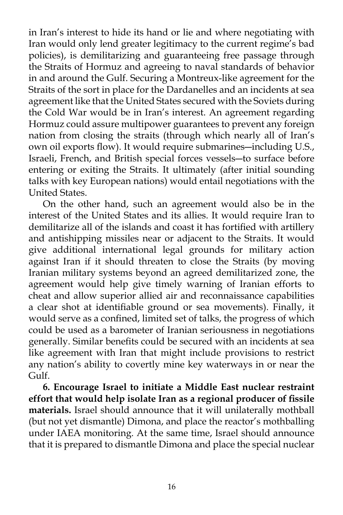in Iran's interest to hide its hand or lie and where negotiating with Iran would only lend greater legitimacy to the current regime's bad policies), is demilitarizing and guaranteeing free passage through the Straits of Hormuz and agreeing to naval standards of behavior in and around the Gulf. Securing a Montreux-like agreement for the Straits of the sort in place for the Dardanelles and an incidents at sea agreement like that the United States secured with the Soviets during the Cold War would be in Iran's interest. An agreement regarding Hormuz could assure multipower guarantees to prevent any foreign nation from closing the straits (through which nearly all of Iran's own oil exports flow). It would require submarines―including U.S., Israeli, French, and British special forces vessels―to surface before entering or exiting the Straits. It ultimately (after initial sounding talks with key European nations) would entail negotiations with the United States.

 On the other hand, such an agreement would also be in the interest of the United States and its allies. It would require Iran to demilitarize all of the islands and coast it has fortified with artillery and antishipping missiles near or adjacent to the Straits. It would give additional international legal grounds for military action against Iran if it should threaten to close the Straits (by moving Iranian military systems beyond an agreed demilitarized zone, the agreement would help give timely warning of Iranian efforts to cheat and allow superior allied air and reconnaissance capabilities a clear shot at identifiable ground or sea movements). Finally, it would serve as a confined, limited set of talks, the progress of which could be used as a barometer of Iranian seriousness in negotiations generally. Similar benefits could be secured with an incidents at sea like agreement with Iran that might include provisions to restrict any nation's ability to covertly mine key waterways in or near the Gulf.

**6. Encourage Israel to initiate a Middle East nuclear restraint effort that would help isolate Iran as a regional producer of fissile materials.** Israel should announce that it will unilaterally mothball (but not yet dismantle) Dimona, and place the reactor's mothballing under IAEA monitoring. At the same time, Israel should announce that it is prepared to dismantle Dimona and place the special nuclear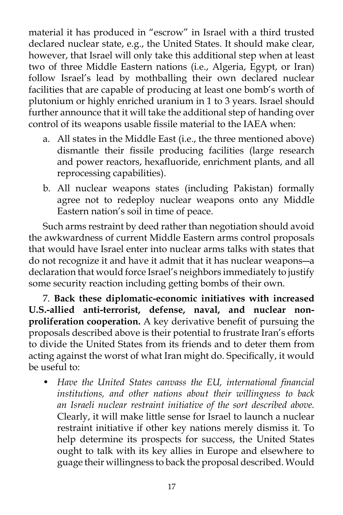material it has produced in "escrow" in Israel with a third trusted declared nuclear state, e.g., the United States. It should make clear, however, that Israel will only take this additional step when at least two of three Middle Eastern nations (i.e., Algeria, Egypt, or Iran) follow Israel's lead by mothballing their own declared nuclear facilities that are capable of producing at least one bomb's worth of plutonium or highly enriched uranium in 1 to 3 years. Israel should further announce that it will take the additional step of handing over control of its weapons usable fissile material to the IAEA when:

- a. All states in the Middle East (i.e., the three mentioned above) dismantle their fissile producing facilities (large research and power reactors, hexafluoride, enrichment plants, and all reprocessing capabilities).
- b. All nuclear weapons states (including Pakistan) formally agree not to redeploy nuclear weapons onto any Middle Eastern nation's soil in time of peace.

Such arms restraint by deed rather than negotiation should avoid the awkwardness of current Middle Eastern arms control proposals that would have Israel enter into nuclear arms talks with states that do not recognize it and have it admit that it has nuclear weapons―a declaration that would force Israel's neighbors immediately to justify some security reaction including getting bombs of their own.

 7. **Back these diplomatic-economic initiatives with increased U.S.-allied anti-terrorist, defense, naval, and nuclear nonproliferation cooperation.** A key derivative benefit of pursuing the proposals described above is their potential to frustrate Iran's efforts to divide the United States from its friends and to deter them from acting against the worst of what Iran might do. Specifically, it would be useful to:

• *Have the United States canvass the EU, international financial institutions, and other nations about their willingness to back an Israeli nuclear restraint initiative of the sort described above.* Clearly, it will make little sense for Israel to launch a nuclear restraint initiative if other key nations merely dismiss it. To help determine its prospects for success, the United States ought to talk with its key allies in Europe and elsewhere to guage their willingness to back the proposal described. Would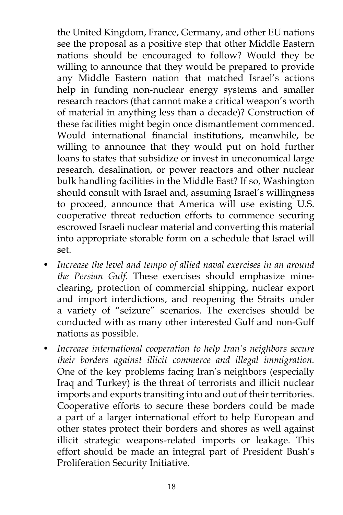the United Kingdom, France, Germany, and other EU nations see the proposal as a positive step that other Middle Eastern nations should be encouraged to follow? Would they be willing to announce that they would be prepared to provide any Middle Eastern nation that matched Israel's actions help in funding non-nuclear energy systems and smaller research reactors (that cannot make a critical weapon's worth of material in anything less than a decade)? Construction of these facilities might begin once dismantlement commenced. Would international financial institutions, meanwhile, be willing to announce that they would put on hold further loans to states that subsidize or invest in uneconomical large research, desalination, or power reactors and other nuclear bulk handling facilities in the Middle East? If so, Washington should consult with Israel and, assuming Israel's willingness to proceed, announce that America will use existing U.S. cooperative threat reduction efforts to commence securing escrowed Israeli nuclear material and converting this material into appropriate storable form on a schedule that Israel will set.

- *Increase the level and tempo of allied naval exercises in an around the Persian Gulf.* These exercises should emphasize mineclearing, protection of commercial shipping, nuclear export and import interdictions, and reopening the Straits under a variety of "seizure" scenarios. The exercises should be conducted with as many other interested Gulf and non-Gulf nations as possible.
- *Increase international cooperation to help Iran's neighbors secure their borders against illicit commerce and illegal immigration.*  One of the key problems facing Iran's neighbors (especially Iraq and Turkey) is the threat of terrorists and illicit nuclear imports and exports transiting into and out of their territories. Cooperative efforts to secure these borders could be made a part of a larger international effort to help European and other states protect their borders and shores as well against illicit strategic weapons-related imports or leakage. This effort should be made an integral part of President Bush's Proliferation Security Initiative.